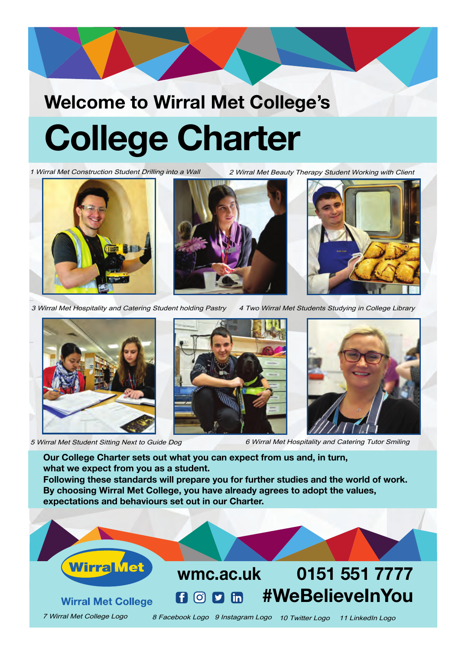# **Welcome to Wirral Met College's College Charter**

1 Wirral Met Construction Student Drilling into a Wall 2 Wirral Met Beauty Therapy Student Working with Client





3 Wirral Met Hospitality and Catering Student holding Pastry 4 Two Wirral Met Students Studying in College Library





5 Wirral Met Student Sitting Next to Guide Dog 6 Wirral Met Hospitality and Catering Tutor Smiling

**Our College Charter sets out what you can expect from us and, in turn, what we expect from you as a student. Following these standards will prepare you for further studies and the world of work. By choosing Wirral Met College, you have already agrees to adopt the values,**

**expectations and behaviours set out in our Charter.**

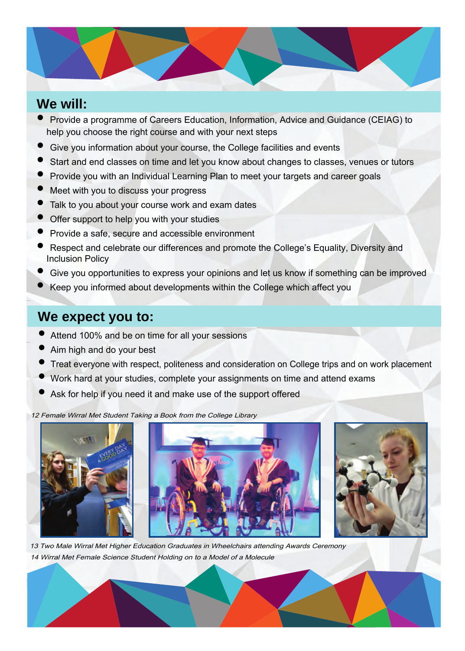# **We will:**  $\blacksquare$

- Provide a programme of Careers Education, Information, Advice and Guidance (CEIAG) to help you choose the right course and with your next steps
- Give you information about your course, the College facilities and events
- Start and end classes on time and let you know about changes to classes, venues or tutors
- Provide you with an Individual Learning Plan to meet your targets and career goals
- Meet with you to discuss your progress
- Talk to you about your course work and exam dates
- Offer support to help you with your studies
- Provide a safe, secure and accessible environment
- Respect and celebrate our differences and promote the College's Equality, Diversity and Inclusion Policy
- Give you opportunities to express your opinions and let us know if something can be improved
- Keep you informed about developments within the College which affect you

#### **We expect you to:**

- Attend 100% and be on time for all your sessions
- Aim high and do your best
- Treat everyone with respect, politeness and consideration on College trips and on work placement
- Work hard at your studies, complete your assignments on time and attend exams
- Ask for help if you need it and make use of the support offered

12 Female Wirral Met Student Taking a Book from the College Library





13 Two Male Wirral Met Higher Education Graduates in Wheelchairs attending Awards Ceremony 14 Wirral Met Female Science Student Holding on to a Model of a Molecule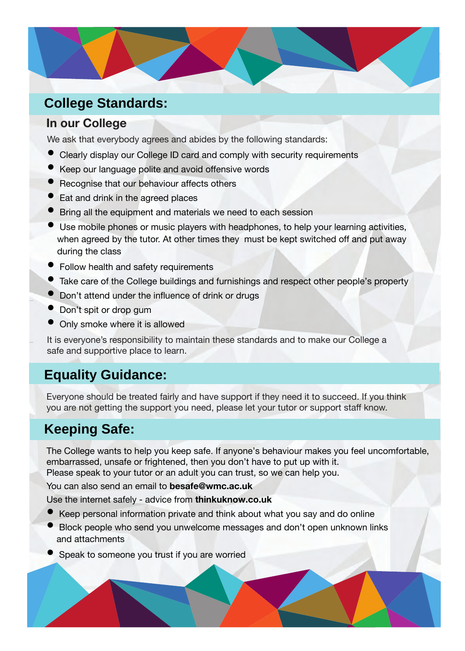## **We will: College Standards:**

#### **In our College**

We ask that everybody agrees and abides by the following standards:

- Clearly display our College ID card and comply with security requirements
- Keep our language polite and avoid offensive words
- Recognise that our behaviour affects others
- Eat and drink in the agreed places
- Bring all the equipment and materials we need to each session
- Use mobile phones or music players with headphones, to help your learning activities, when agreed by the tutor. At other times they must be kept switched off and put away during the class
- Follow health and safety requirements
- Take care of the College buildings and furnishings and respect other people's property
- Don't attend under the influence of drink or drugs
- Don't spit or drop gum
- Only smoke where it is allowed

It is everyone's responsibility to maintain these standards and to make our College a safe and supportive place to learn.

### **Equality Guidance:**

Everyone should be treated fairly and have support if they need it to succeed. If you think you are not getting the support you need, please let your tutor or support staff know.

## **Keeping Safe:**

The College wants to help you keep safe. If anyone's behaviour makes you feel uncomfortable, embarrassed, unsafe or frightened, then you don't have to put up with it. Please speak to your tutor or an adult you can trust, so we can help you.

You can also send an email to **besafe@wmc.ac.uk**

Use the internet safely - advice from **thinkuknow.co.uk**

- Keep personal information private and think about what you say and do online
- Block people who send you unwelcome messages and don't open unknown links and attachments
- Speak to someone you trust if you are worried